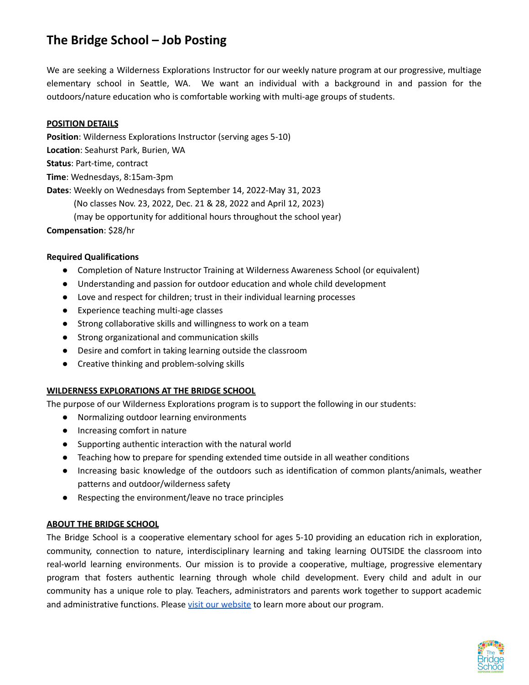# **The Bridge School – Job Posting**

We are seeking a Wilderness Explorations Instructor for our weekly nature program at our progressive, multiage elementary school in Seattle, WA. We want an individual with a background in and passion for the outdoors/nature education who is comfortable working with multi-age groups of students.

## **POSITION DETAILS**

**Position**: Wilderness Explorations Instructor (serving ages 5-10) **Location**: Seahurst Park, Burien, WA **Status**: Part-time, contract **Time**: Wednesdays, 8:15am-3pm **Dates**: Weekly on Wednesdays from September 14, 2022-May 31, 2023 (No classes Nov. 23, 2022, Dec. 21 & 28, 2022 and April 12, 2023) (may be opportunity for additional hours throughout the school year) **Compensation**: \$28/hr

#### **Required Qualifications**

- Completion of Nature Instructor Training at Wilderness Awareness School (or equivalent)
- Understanding and passion for outdoor education and whole child development
- Love and respect for children; trust in their individual learning processes
- Experience teaching multi-age classes
- Strong collaborative skills and willingness to work on a team
- Strong organizational and communication skills
- Desire and comfort in taking learning outside the classroom
- Creative thinking and problem-solving skills

#### **WILDERNESS EXPLORATIONS AT THE BRIDGE SCHOOL**

The purpose of our Wilderness Explorations program is to support the following in our students:

- Normalizing outdoor learning environments
- Increasing comfort in nature
- Supporting authentic interaction with the natural world
- Teaching how to prepare for spending extended time outside in all weather conditions
- Increasing basic knowledge of the outdoors such as identification of common plants/animals, weather patterns and outdoor/wilderness safety
- Respecting the environment/leave no trace principles

#### **ABOUT THE BRIDGE SCHOOL**

The Bridge School is a cooperative elementary school for ages 5-10 providing an education rich in exploration, community, connection to nature, interdisciplinary learning and taking learning OUTSIDE the classroom into real-world learning environments. Our mission is to provide a cooperative, multiage, progressive elementary program that fosters authentic learning through whole child development. Every child and adult in our community has a unique role to play. Teachers, administrators and parents work together to support academic and administrative functions. Please visit our [website](http://www.bridgeschoolcoop.org/) to learn more about our program.